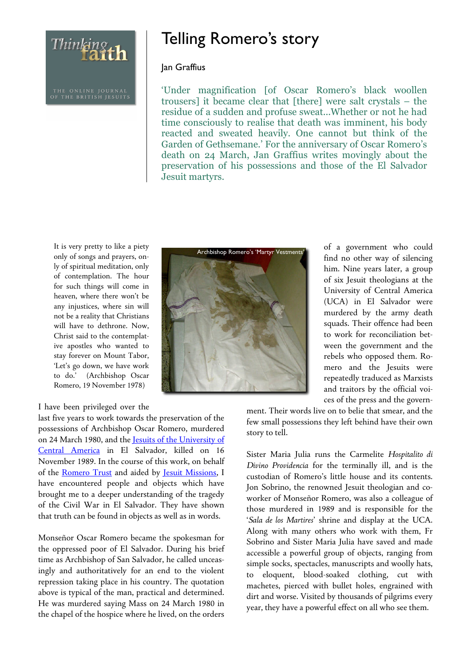Thinking th

# Telling Romero's story

#### Jan Graffius

'Under magnification [of Oscar Romero's black woollen trousers] it became clear that [there] were salt crystals – the residue of a sudden and profuse sweat...Whether or not he had time consciously to realise that death was imminent, his body reacted and sweated heavily. One cannot but think of the Garden of Gethsemane.' For the anniversary of Oscar Romero's death on 24 March, Jan Graffius writes movingly about the preservation of his possessions and those of the El Salvador Jesuit martyrs.

It is very pretty to like a piety only of songs and prayers, only of spiritual meditation, only of contemplation. The hour for such things will come in heaven, where there won't be any injustices, where sin will not be a reality that Christians will have to dethrone. Now, Christ said to the contemplative apostles who wanted to stay forever on Mount Tabor, 'Let's go down, we have work to do.' (Archbishop Oscar Romero, 19 November 1978)

#### I have been privileged over the

last five years to work towards the preservation of the possessions of Archbishop Oscar Romero, murdered on 24 March 1980, and the Jesuits of the University of Central America in El Salvador, killed on 16 November 1989. In the course of this work, on behalf of the Romero Trust and aided by Jesuit Missions, I have encountered people and objects which have brought me to a deeper understanding of the tragedy of the Civil War in El Salvador. They have shown that truth can be found in objects as well as in words.

Monseñor Oscar Romero became the spokesman for the oppressed poor of El Salvador. During his brief time as Archbishop of San Salvador, he called unceasingly and authoritatively for an end to the violent repression taking place in his country. The quotation above is typical of the man, practical and determined. He was murdered saying Mass on 24 March 1980 in the chapel of the hospice where he lived, on the orders



of a government who could find no other way of silencing him. Nine years later, a group of six Jesuit theologians at the University of Central America (UCA) in El Salvador were murdered by the army death squads. Their offence had been to work for reconciliation between the government and the rebels who opposed them. Romero and the Jesuits were repeatedly traduced as Marxists and traitors by the official voices of the press and the govern-

ment. Their words live on to belie that smear, and the few small possessions they left behind have their own story to tell.

Sister Maria Julia runs the Carmelite *Hospitalito di Divino Providencia* for the terminally ill, and is the custodian of Romero's little house and its contents. Jon Sobrino, the renowned Jesuit theologian and coworker of Monseñor Romero, was also a colleague of those murdered in 1989 and is responsible for the '*Sala de los Martires*' shrine and display at the UCA. Along with many others who work with them, Fr Sobrino and Sister Maria Julia have saved and made accessible a powerful group of objects, ranging from simple socks, spectacles, manuscripts and woolly hats, to eloquent, blood-soaked clothing, cut with machetes, pierced with bullet holes, engrained with dirt and worse. Visited by thousands of pilgrims every year, they have a powerful effect on all who see them.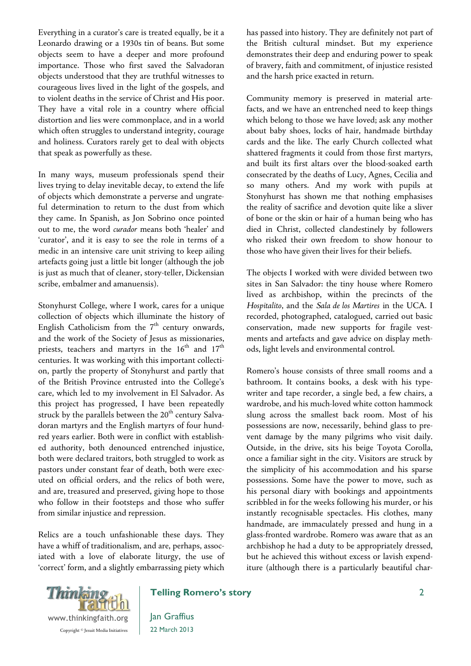Everything in a curator's care is treated equally, be it a Leonardo drawing or a 1930s tin of beans. But some objects seem to have a deeper and more profound importance. Those who first saved the Salvadoran objects understood that they are truthful witnesses to courageous lives lived in the light of the gospels, and to violent deaths in the service of Christ and His poor. They have a vital role in a country where official distortion and lies were commonplace, and in a world which often struggles to understand integrity, courage and holiness. Curators rarely get to deal with objects that speak as powerfully as these.

In many ways, museum professionals spend their lives trying to delay inevitable decay, to extend the life of objects which demonstrate a perverse and ungrateful determination to return to the dust from which they came. In Spanish, as Jon Sobrino once pointed out to me, the word *curador* means both 'healer' and 'curator', and it is easy to see the role in terms of a medic in an intensive care unit striving to keep ailing artefacts going just a little bit longer (although the job is just as much that of cleaner, story-teller, Dickensian scribe, embalmer and amanuensis).

Stonyhurst College, where I work, cares for a unique collection of objects which illuminate the history of English Catholicism from the  $7<sup>th</sup>$  century onwards, and the work of the Society of Jesus as missionaries, priests, teachers and martyrs in the  $16<sup>th</sup>$  and  $17<sup>th</sup>$ centuries. It was working with this important collection, partly the property of Stonyhurst and partly that of the British Province entrusted into the College's care, which led to my involvement in El Salvador. As this project has progressed, I have been repeatedly struck by the parallels between the  $20<sup>th</sup>$  century Salvadoran martyrs and the English martyrs of four hundred years earlier. Both were in conflict with established authority, both denounced entrenched injustice, both were declared traitors, both struggled to work as pastors under constant fear of death, both were executed on official orders, and the relics of both were, and are, treasured and preserved, giving hope to those who follow in their footsteps and those who suffer from similar injustice and repression.

Relics are a touch unfashionable these days. They have a whiff of traditionalism, and are, perhaps, associated with a love of elaborate liturgy, the use of 'correct' form, and a slightly embarrassing piety which has passed into history. They are definitely not part of the British cultural mindset. But my experience demonstrates their deep and enduring power to speak of bravery, faith and commitment, of injustice resisted and the harsh price exacted in return.

Community memory is preserved in material artefacts, and we have an entrenched need to keep things which belong to those we have loved; ask any mother about baby shoes, locks of hair, handmade birthday cards and the like. The early Church collected what shattered fragments it could from those first martyrs, and built its first altars over the blood-soaked earth consecrated by the deaths of Lucy, Agnes, Cecilia and so many others. And my work with pupils at Stonyhurst has shown me that nothing emphasises the reality of sacrifice and devotion quite like a sliver of bone or the skin or hair of a human being who has died in Christ, collected clandestinely by followers who risked their own freedom to show honour to those who have given their lives for their beliefs.

The objects I worked with were divided between two sites in San Salvador: the tiny house where Romero lived as archbishop, within the precincts of the *Hospitalito*, and the *Sala de los Martires* in the UCA. I recorded, photographed, catalogued, carried out basic conservation, made new supports for fragile vestments and artefacts and gave advice on display methods, light levels and environmental control.

Romero's house consists of three small rooms and a bathroom. It contains books, a desk with his typewriter and tape recorder, a single bed, a few chairs, a wardrobe, and his much-loved white cotton hammock slung across the smallest back room. Most of his possessions are now, necessarily, behind glass to prevent damage by the many pilgrims who visit daily. Outside, in the drive, sits his beige Toyota Corolla, once a familiar sight in the city. Visitors are struck by the simplicity of his accommodation and his sparse possessions. Some have the power to move, such as his personal diary with bookings and appointments scribbled in for the weeks following his murder, or his instantly recognisable spectacles. His clothes, many handmade, are immaculately pressed and hung in a glass-fronted wardrobe. Romero was aware that as an archbishop he had a duty to be appropriately dressed, but he achieved this without excess or lavish expenditure (although there is a particularly beautiful char-



## **Telling Romero's story**

Jan Graffius 22 March 2013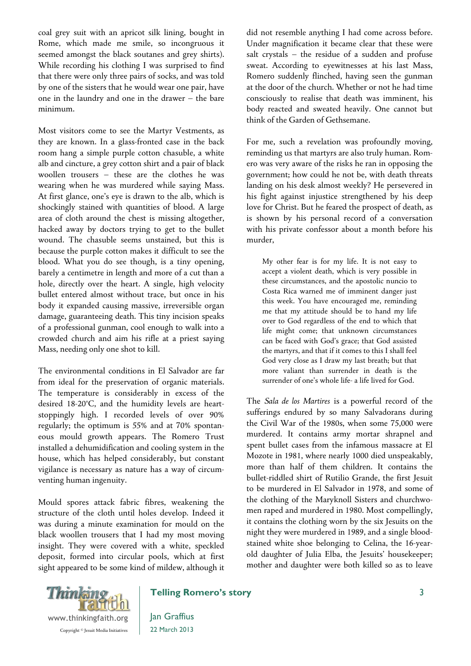coal grey suit with an apricot silk lining, bought in Rome, which made me smile, so incongruous it seemed amongst the black soutanes and grey shirts). While recording his clothing I was surprised to find that there were only three pairs of socks, and was told by one of the sisters that he would wear one pair, have one in the laundry and one in the drawer – the bare minimum.

Most visitors come to see the Martyr Vestments, as they are known. In a glass-fronted case in the back room hang a simple purple cotton chasuble, a white alb and cincture, a grey cotton shirt and a pair of black woollen trousers – these are the clothes he was wearing when he was murdered while saying Mass. At first glance, one's eye is drawn to the alb, which is shockingly stained with quantities of blood. A large area of cloth around the chest is missing altogether, hacked away by doctors trying to get to the bullet wound. The chasuble seems unstained, but this is because the purple cotton makes it difficult to see the blood. What you do see though, is a tiny opening, barely a centimetre in length and more of a cut than a hole, directly over the heart. A single, high velocity bullet entered almost without trace, but once in his body it expanded causing massive, irreversible organ damage, guaranteeing death. This tiny incision speaks of a professional gunman, cool enough to walk into a crowded church and aim his rifle at a priest saying Mass, needing only one shot to kill.

The environmental conditions in El Salvador are far from ideal for the preservation of organic materials. The temperature is considerably in excess of the desired 18-20°C, and the humidity levels are heartstoppingly high. I recorded levels of over 90% regularly; the optimum is 55% and at 70% spontaneous mould growth appears. The Romero Trust installed a dehumidification and cooling system in the house, which has helped considerably, but constant vigilance is necessary as nature has a way of circumventing human ingenuity.

Mould spores attack fabric fibres, weakening the structure of the cloth until holes develop. Indeed it was during a minute examination for mould on the black woollen trousers that I had my most moving insight. They were covered with a white, speckled deposit, formed into circular pools, which at first sight appeared to be some kind of mildew, although it did not resemble anything I had come across before. Under magnification it became clear that these were salt crystals – the residue of a sudden and profuse sweat. According to eyewitnesses at his last Mass, Romero suddenly flinched, having seen the gunman at the door of the church. Whether or not he had time consciously to realise that death was imminent, his body reacted and sweated heavily. One cannot but think of the Garden of Gethsemane.

For me, such a revelation was profoundly moving, reminding us that martyrs are also truly human. Romero was very aware of the risks he ran in opposing the government; how could he not be, with death threats landing on his desk almost weekly? He persevered in his fight against injustice strengthened by his deep love for Christ. But he feared the prospect of death, as is shown by his personal record of a conversation with his private confessor about a month before his murder,

My other fear is for my life. It is not easy to accept a violent death, which is very possible in these circumstances, and the apostolic nuncio to Costa Rica warned me of imminent danger just this week. You have encouraged me, reminding me that my attitude should be to hand my life over to God regardless of the end to which that life might come; that unknown circumstances can be faced with God's grace; that God assisted the martyrs, and that if it comes to this I shall feel God very close as I draw my last breath; but that more valiant than surrender in death is the surrender of one's whole life- a life lived for God.

The *Sala de los Martires* is a powerful record of the sufferings endured by so many Salvadorans during the Civil War of the 1980s, when some 75,000 were murdered. It contains army mortar shrapnel and spent bullet cases from the infamous massacre at El Mozote in 1981, where nearly 1000 died unspeakably, more than half of them children. It contains the bullet-riddled shirt of Rutilio Grande, the first Jesuit to be murdered in El Salvador in 1978, and some of the clothing of the Maryknoll Sisters and churchwomen raped and murdered in 1980. Most compellingly, it contains the clothing worn by the six Jesuits on the night they were murdered in 1989, and a single bloodstained white shoe belonging to Celina, the 16-yearold daughter of Julia Elba, the Jesuits' housekeeper; mother and daughter were both killed so as to leave



## **Telling Romero's story**

Jan Graffius 22 March 2013